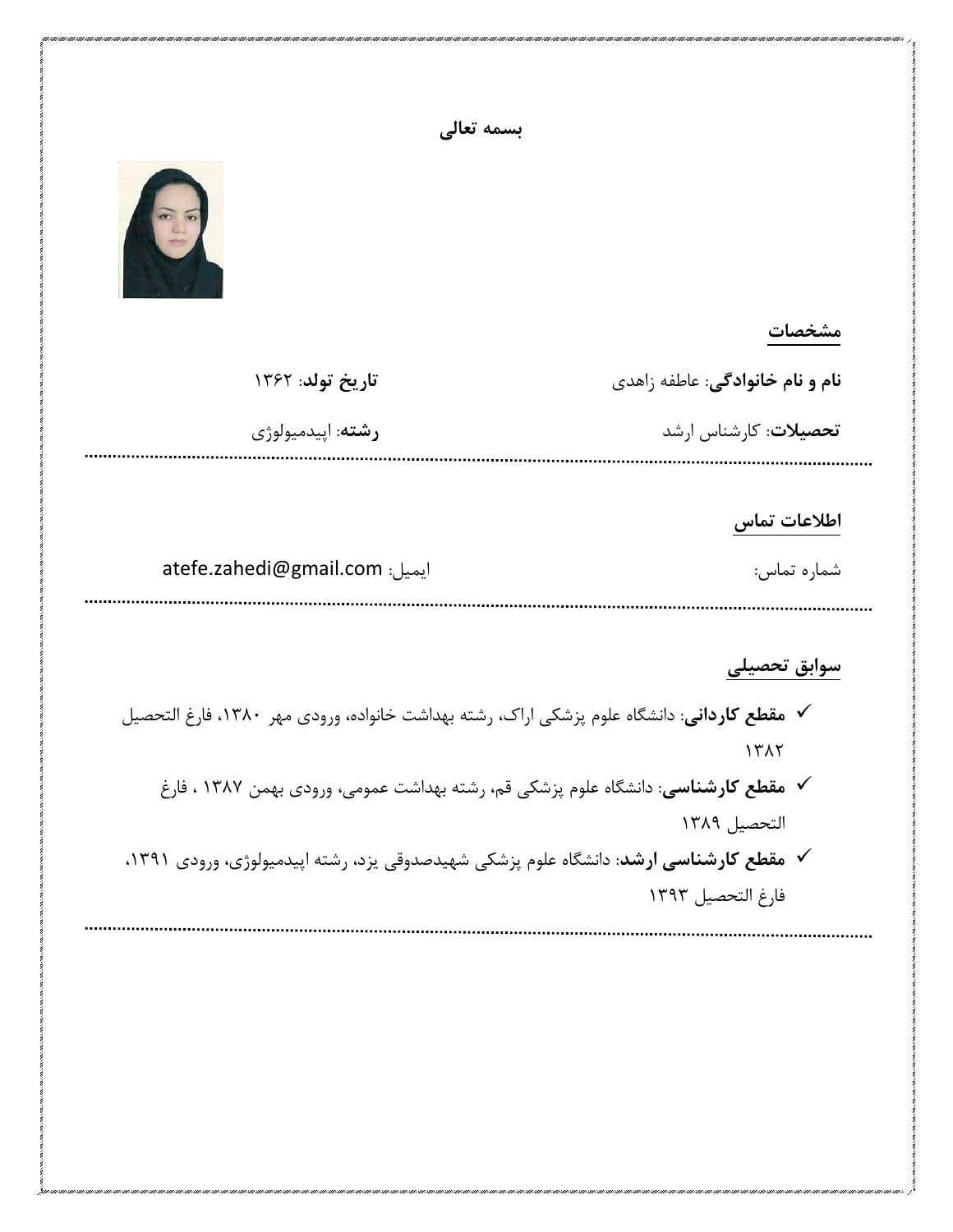|                                                                                               | بسمه تعالى                                                                                            |
|-----------------------------------------------------------------------------------------------|-------------------------------------------------------------------------------------------------------|
|                                                                                               | $\widehat{\infty}$ is                                                                                 |
| مشخصات                                                                                        |                                                                                                       |
| نام و نام خانوادگی: عاطفه زاهدی                                                               | تاريخ تولد: ١٣۶٢                                                                                      |
| تحصیلات: کارشناس ارشد                                                                         | رشته: اپيدميولوژي                                                                                     |
| اطلاعات تماس<br>شماره تماس:                                                                   | atefe.zahedi@gmail.com                                                                                |
| سوابق تحصيلى                                                                                  |                                                                                                       |
| ۱۳۸۲                                                                                          | <b>∕   مقطع كارداني</b> : دانشگاه علوم پزشكي اراك، رشته بهداشت خانواده، ورودي مهر  ١٣٨٠، فارغ التحصيل |
|                                                                                               | ∕   مقطع کارشناسی: دانشگاه علوم پزشکی قم، رشته بهداشت عمومی، ورودی بهمن ۱۳۸۷ ، فارغ                   |
| التحصيل ١٣٨٩                                                                                  |                                                                                                       |
| <b>∕ مقطع کارشناسی ارشد</b> : دانشگاه علوم پزشکی شهیدصدوقی یزد، رشته اپیدمیولوژی، ورودی ۱۳۹۱، |                                                                                                       |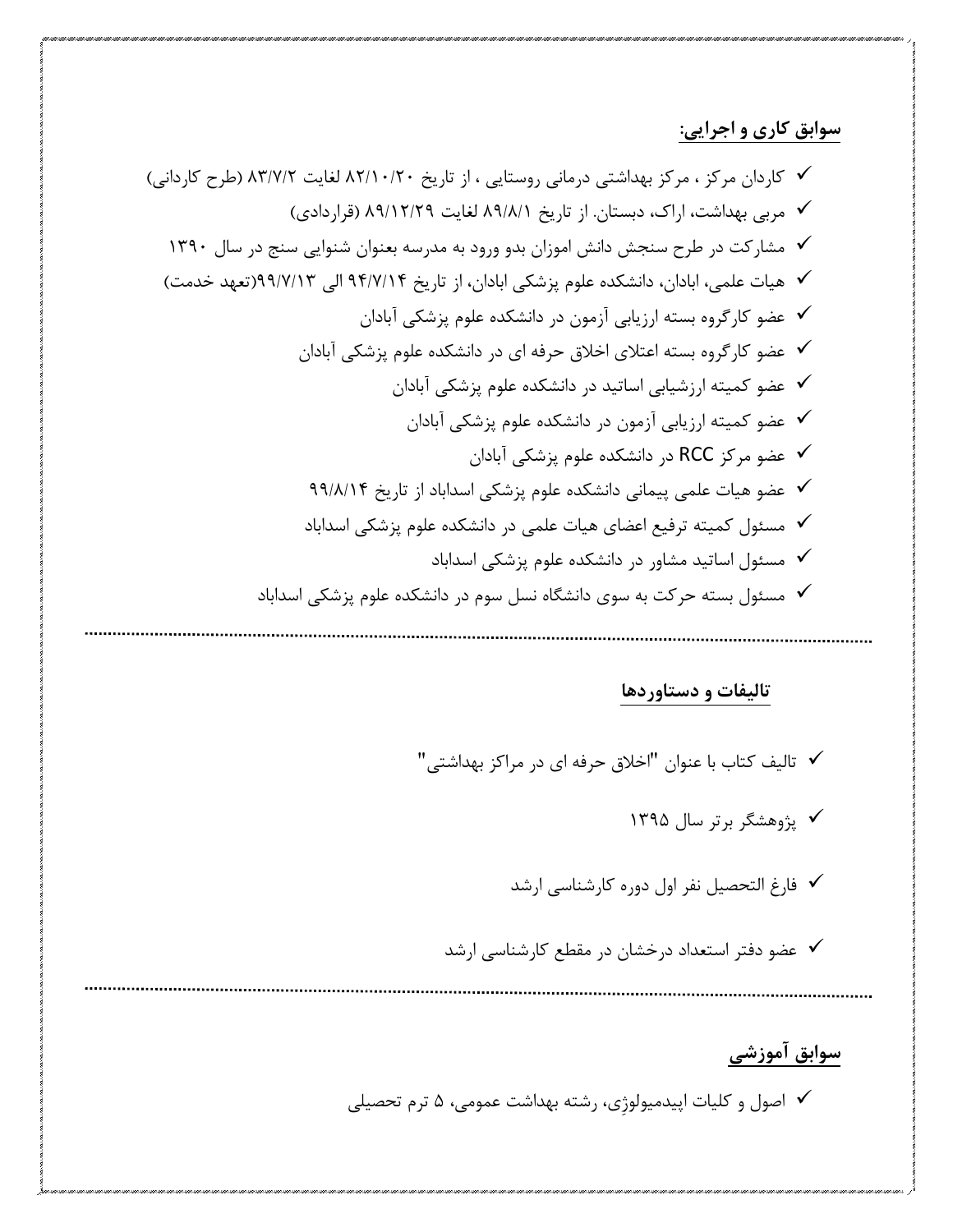## **سوابق کاری و اجرایی:**

 کاردان مرکز ، مرکز بهداشتی درمانی روستایی ، از تاریخ 31/21/11 لغایت 36/1/1 )طرح کاردانی( مربی بهداشت، اراک، دبستان. از تاریخ 31/3/2 لغایت 31/21/11 )قراردادی( مشارکت در طرح سنجش دانش اموزان بدو ورود به مدرسه بعنوان شنوایی سنج در سال 2611 هیات علمی، ابادان، دانشکده علوم پزشکی ابادان، از تاریخ 11/1/21 الی 11/1/26)تعهد خدمت( عضو کارگروه بسته ارزیابی آزمون در دانشکده علوم پزشکی آبادان عضو کارگروه بسته اعتالی اخالق حرفه ای در دانشکده علوم پزشکی آبادان عضو کمیته ارزشیابی اساتید در دانشکده علوم پزشکی آبادان عضو کمیته ارزیابی آزمون در دانشکده علوم پزشکی آبادان عضو مرکز RCC در دانشکده علوم پزشکی آبادان عضو هیات علمی پیمانی دانشکده علوم پزشکی اسداباد از تاریخ 11/3/21 مسئول کمیته ترفیع اعضای هیات علمی در دانشکده علوم پزشکی اسداباد مسئول اساتید مشاور در دانشکده علوم پزشکی اسداباد مسئول بسته حرکت به سوی دانشگاه نسل سوم در دانشکده علوم پزشکی اسداباد

## **تالیفات و دستاوردها**

 تالیف کتاب با عنوان "اخالق حرفه ای در مراکز بهداشتی" پژوهشگر برتر سال 2611 فارغ التحصیل نفر اول دوره کارشناسی ارشد عضو دفتر استعداد درخشان در مقطع کارشناسی ارشد

## **سوابق آموزشی**

اصول و کلیات اپیدمیولوژِی، رشته بهداشت عمومی، 1 ترم تحصیلی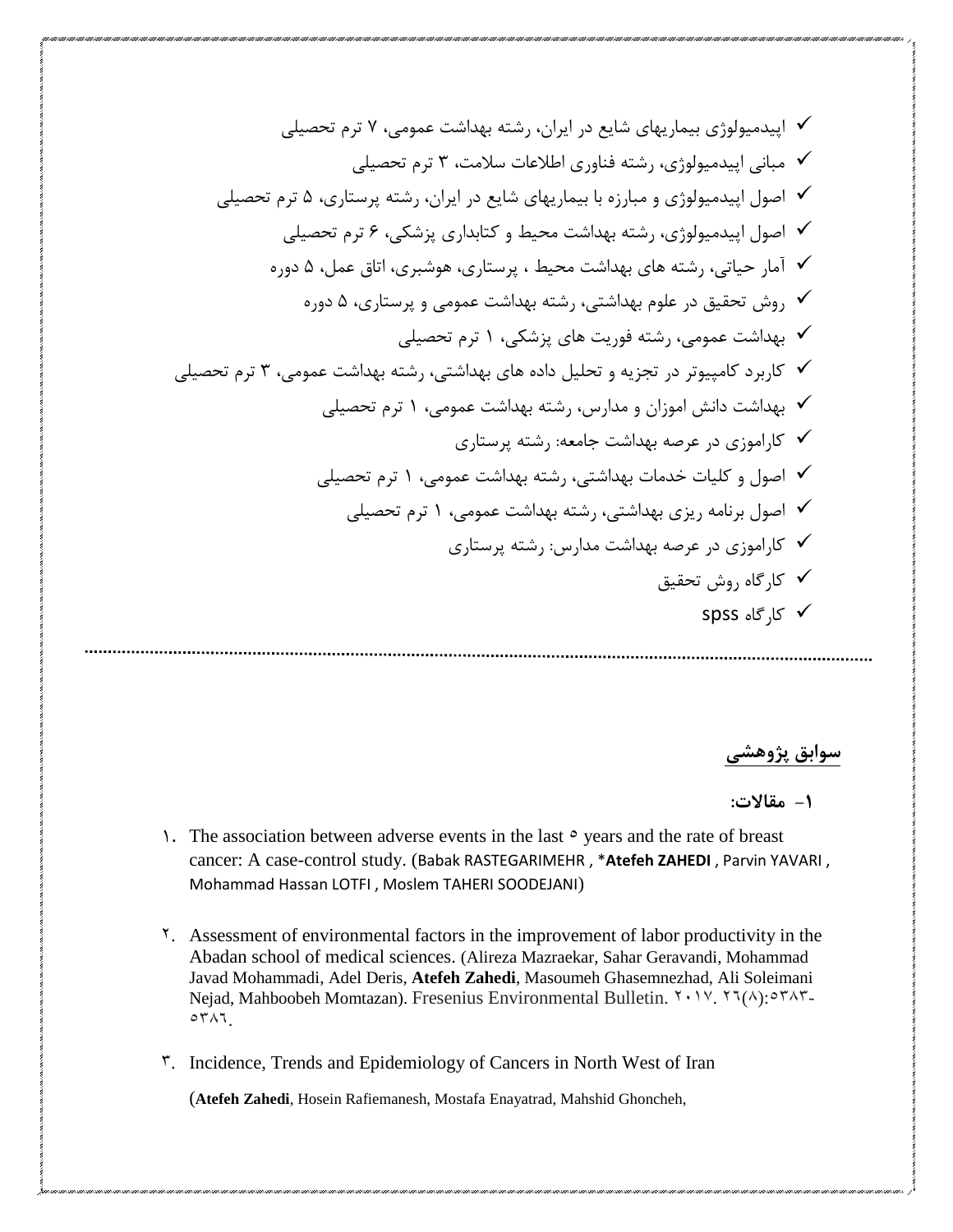اپیدمیولوژی بیماریهای شایع در ایران، رشته بهداشت عمومی، 1 ترم تحصیلی مبانی اپیدمیولوژی، رشته فناوری اطالعات سالمت، 6 ترم تحصیلی اصول اپیدمیولوژی و مبارزه با بیماریهای شایع در ایران، رشته پرستاری، 1 ترم تحصیلی اصول اپیدمیولوژی، رشته بهداشت محیط و کتابداری پزشکی، 3 ترم تحصیلی آمار حیاتی، رشته های بهداشت محیط ، پرستاری، هوشبری، اتاق عمل، 1 دوره روش تحقیق در علوم بهداشتی، رشته بهداشت عمومی و پرستاری، 1 دوره بهداشت عمومی، رشته فوریت های پزشکی، 2 ترم تحصیلی کاربرد کامپیوتر در تجزیه و تحلیل داده های بهداشتی، رشته بهداشت عمومی، 6 ترم تحصیلی بهداشت دانش اموزان و مدارس، رشته بهداشت عمومی، 2 ترم تحصیلی کاراموزی در عرصه بهداشت جامعه: رشته پرستاری اصول و کلیات خدمات بهداشتی، رشته بهداشت عمومی، 2 ترم تحصیلی اصول برنامه ریزی بهداشتی، رشته بهداشت عمومی، 2 ترم تحصیلی کاراموزی در عرصه بهداشت مدارس: رشته پرستاری کارگاه روش تحقیق spss کارگاه

**سوابق پژوهشی**

**-1 مقاالت:**

- 1. The association between adverse events in the last  $\circ$  years and the rate of breast cancer: A case-control study. (Babak RASTEGARIMEHR , \***Atefeh ZAHEDI** , Parvin YAVARI , Mohammad Hassan LOTFI , Moslem TAHERI SOODEJANI)
- 2. Assessment of environmental factors in the improvement of labor productivity in the Abadan school of medical sciences. (Alireza Mazraekar, Sahar Geravandi, Mohammad Javad Mohammadi, Adel Deris, **Atefeh Zahedi**, Masoumeh Ghasemnezhad, Ali Soleimani Nejad, Mahboobeh Momtazan). Fresenius Environmental Bulletin.  $Y \cdot Y'$ .  $Y \cdot (A) \cdot Y' \cdot Y''$ .  $\circ$   $\uparrow$   $\wedge$   $\uparrow$

5. Incidence, Trends and Epidemiology of Cancers in North West of Iran

(**Atefeh Zahedi**, Hosein Rafiemanesh, Mostafa Enayatrad, Mahshid Ghoncheh,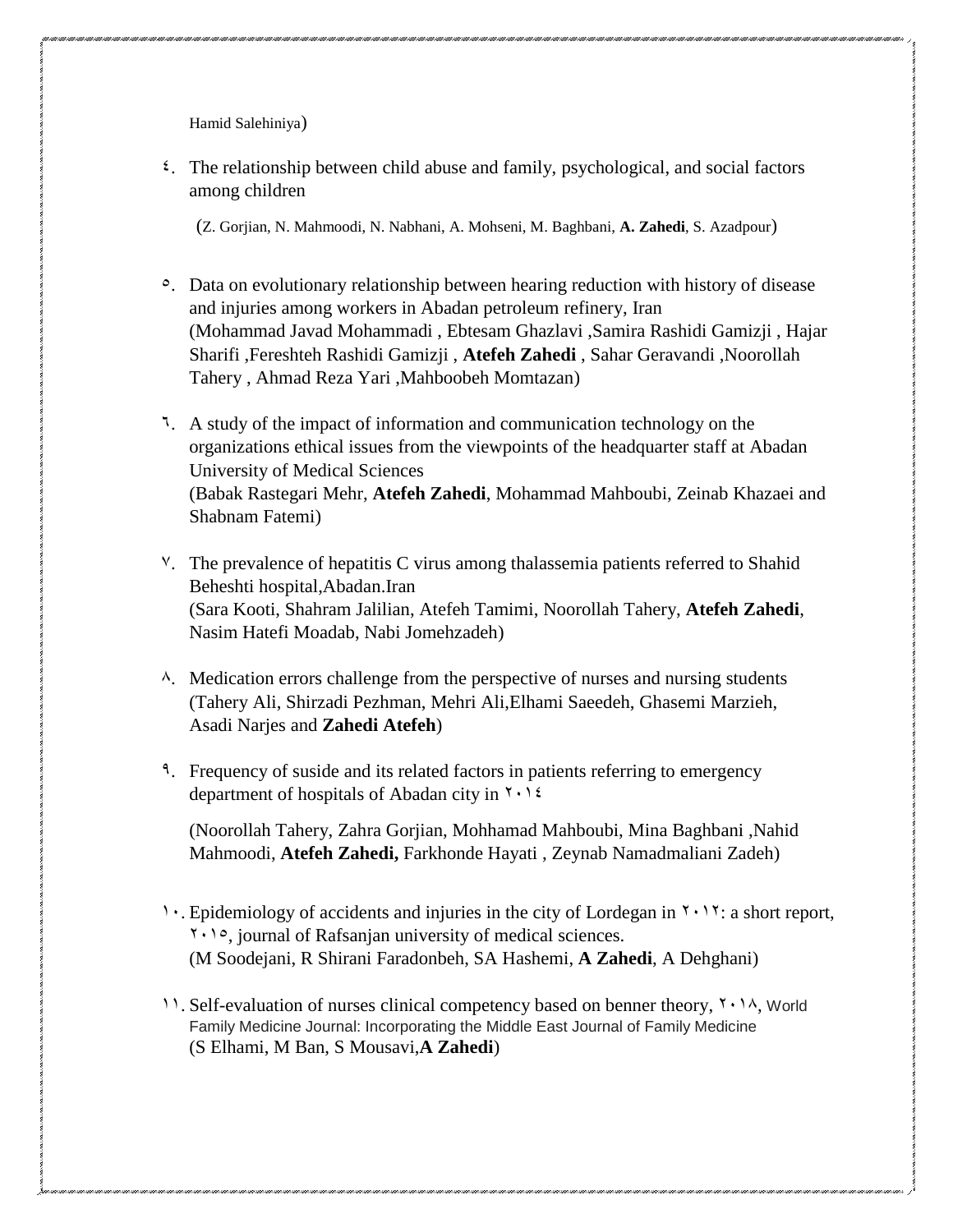Hamid Salehiniya)

 $\epsilon$ . The relationship between child abuse and family, psychological, and social factors among children

(Z. Gorjian, N. Mahmoodi, N. Nabhani, A. Mohseni, M. Baghbani, **A. Zahedi**, S. Azadpour)

- 5. Data on evolutionary relationship between hearing reduction with history of disease and injuries among workers in Abadan petroleum refinery, Iran (Mohammad Javad Mohammadi , Ebtesam Ghazlavi ,Samira Rashidi Gamizji , Hajar Sharifi ,Fereshteh Rashidi Gamizji , **Atefeh Zahedi** , Sahar Geravandi ,Noorollah Tahery , Ahmad Reza Yari ,Mahboobeh Momtazan)
- 2. A study of the impact of information and communication technology on the organizations ethical issues from the viewpoints of the headquarter staff at Abadan University of Medical Sciences (Babak Rastegari Mehr, **Atefeh Zahedi**, Mohammad Mahboubi, Zeinab Khazaei and Shabnam Fatemi)
- 2. The prevalence of hepatitis C virus among thalassemia patients referred to Shahid Beheshti hospital,Abadan.Iran (Sara Kooti, Shahram Jalilian, Atefeh Tamimi, Noorollah Tahery, **Atefeh Zahedi**, Nasim Hatefi Moadab, Nabi Jomehzadeh)
- $\lambda$ . Medication errors challenge from the perspective of nurses and nursing students (Tahery Ali, Shirzadi Pezhman, Mehri Ali,Elhami Saeedeh, Ghasemi Marzieh, Asadi Narjes and **Zahedi Atefeh**)
- <sup>9</sup>. Frequency of suside and its related factors in patients referring to emergency department of hospitals of Abadan city in  $\gamma \cdot \gamma$

(Noorollah Tahery, Zahra Gorjian, Mohhamad Mahboubi, Mina Baghbani ,Nahid Mahmoodi, **Atefeh Zahedi,** Farkhonde Hayati , Zeynab Namadmaliani Zadeh)

- 1. Epidemiology of accidents and injuries in the city of Lordegan in  $\gamma \cdot 1\gamma$ : a short report,  $1.1$ <sup>o</sup>, journal of Rafsanjan university of medical sciences. (M Soodejani, R Shirani Faradonbeh, SA Hashemi, **A Zahedi**, A Dehghani)
- 11. Self-evaluation of nurses clinical competency based on benner theory,  $\gamma \cdot 1\lambda$ , World Family Medicine Journal: Incorporating the Middle East Journal of Family Medicine (S Elhami, M Ban, S Mousavi,**A Zahedi**)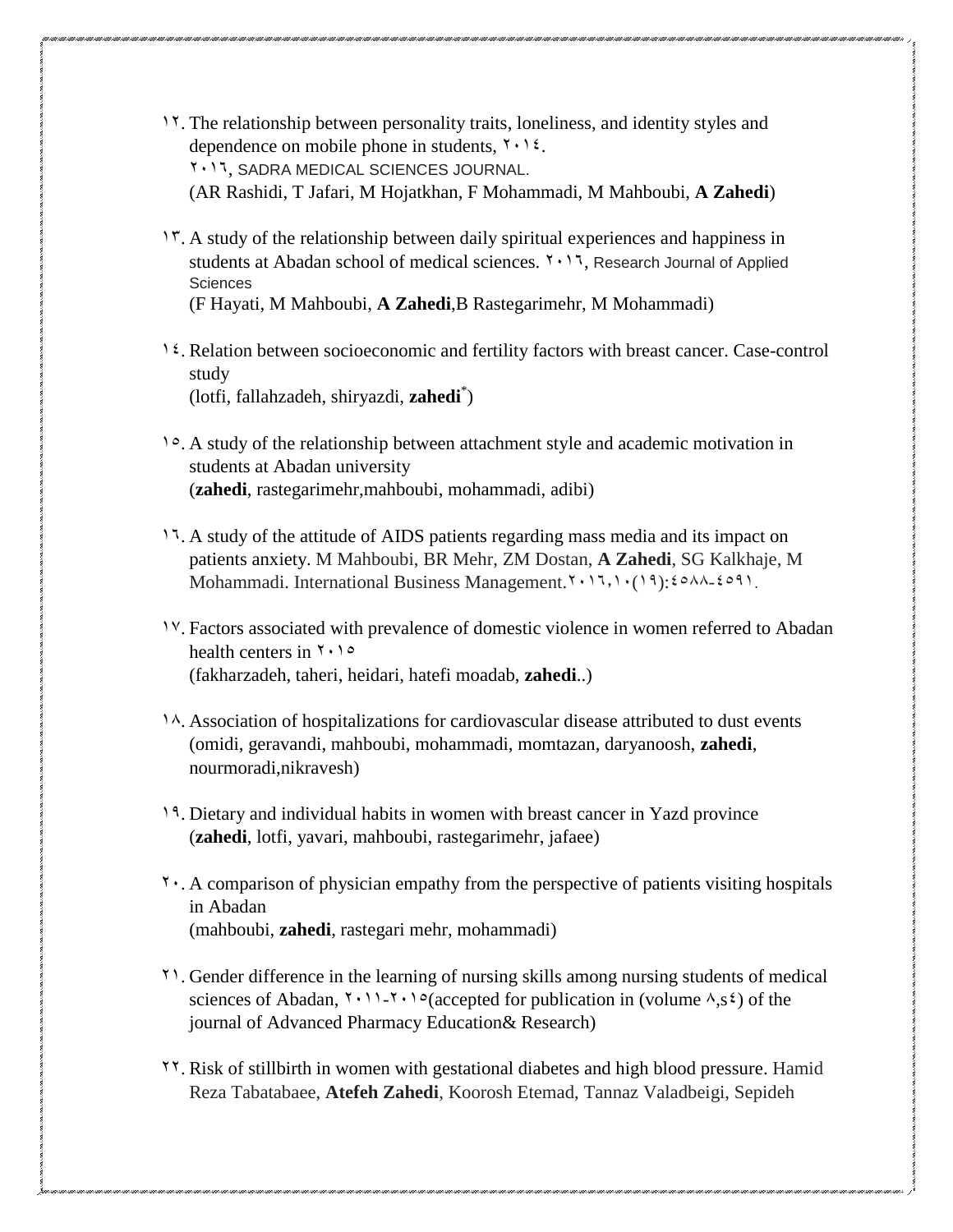- 02. The relationship between personality traits, loneliness, and identity styles and dependence on mobile phone in students,  $\mathbf{Y} \cdot \mathbf{Y} \mathbf{Z}$ . **Y . 17, SADRA MEDICAL SCIENCES JOURNAL.** (AR Rashidi, T Jafari, M Hojatkhan, F Mohammadi, M Mahboubi, **A Zahedi**)
- 15. A study of the relationship between daily spiritual experiences and happiness in students at Abadan school of medical sciences.  $Y \cdot Y$ , Research Journal of Applied Sciences (F Hayati, M Mahboubi, **A Zahedi**,B Rastegarimehr, M Mohammadi)
- 04. Relation between socioeconomic and fertility factors with breast cancer. Case-control study (lotfi, fallahzadeh, shiryazdi, **zahedi**\* )
- 05. A study of the relationship between attachment style and academic motivation in students at Abadan university (**zahedi**, rastegarimehr,mahboubi, mohammadi, adibi)
- 17. A study of the attitude of AIDS patients regarding mass media and its impact on patients anxiety. M Mahboubi, BR Mehr, ZM Dostan, **A Zahedi**, SG Kalkhaje, M Mohammadi. International Business Management.  $Y \cdot 17$ ,  $Y \cdot (19)$ :  $20 \wedge 4209$ .
- 02. Factors associated with prevalence of domestic violence in women referred to Abadan health centers in  $\gamma \cdot \rho$ (fakharzadeh, taheri, heidari, hatefi moadab, **zahedi**..)
- 1.8. Association of hospitalizations for cardiovascular disease attributed to dust events (omidi, geravandi, mahboubi, mohammadi, momtazan, daryanoosh, **zahedi**, nourmoradi,nikravesh)
- 09. Dietary and individual habits in women with breast cancer in Yazd province (**zahedi**, lotfi, yavari, mahboubi, rastegarimehr, jafaee)
- $21. A$  comparison of physician empathy from the perspective of patients visiting hospitals in Abadan (mahboubi, **zahedi**, rastegari mehr, mohammadi)
- 20. Gender difference in the learning of nursing skills among nursing students of medical sciences of Abadan,  $\{1, 1, 2\}$  of accepted for publication in (volume  $\lambda$ , s<sup>2</sup>) of the journal of Advanced Pharmacy Education& Research)
- 22. [Risk of stillbirth in women with gestational diabetes and high blood pressure.](http://ijph.tums.ac.ir/index.php/ijph/article/view/20170) Hamid Reza Tabatabaee, **Atefeh Zahedi**, Koorosh Etemad, Tannaz Valadbeigi, Sepideh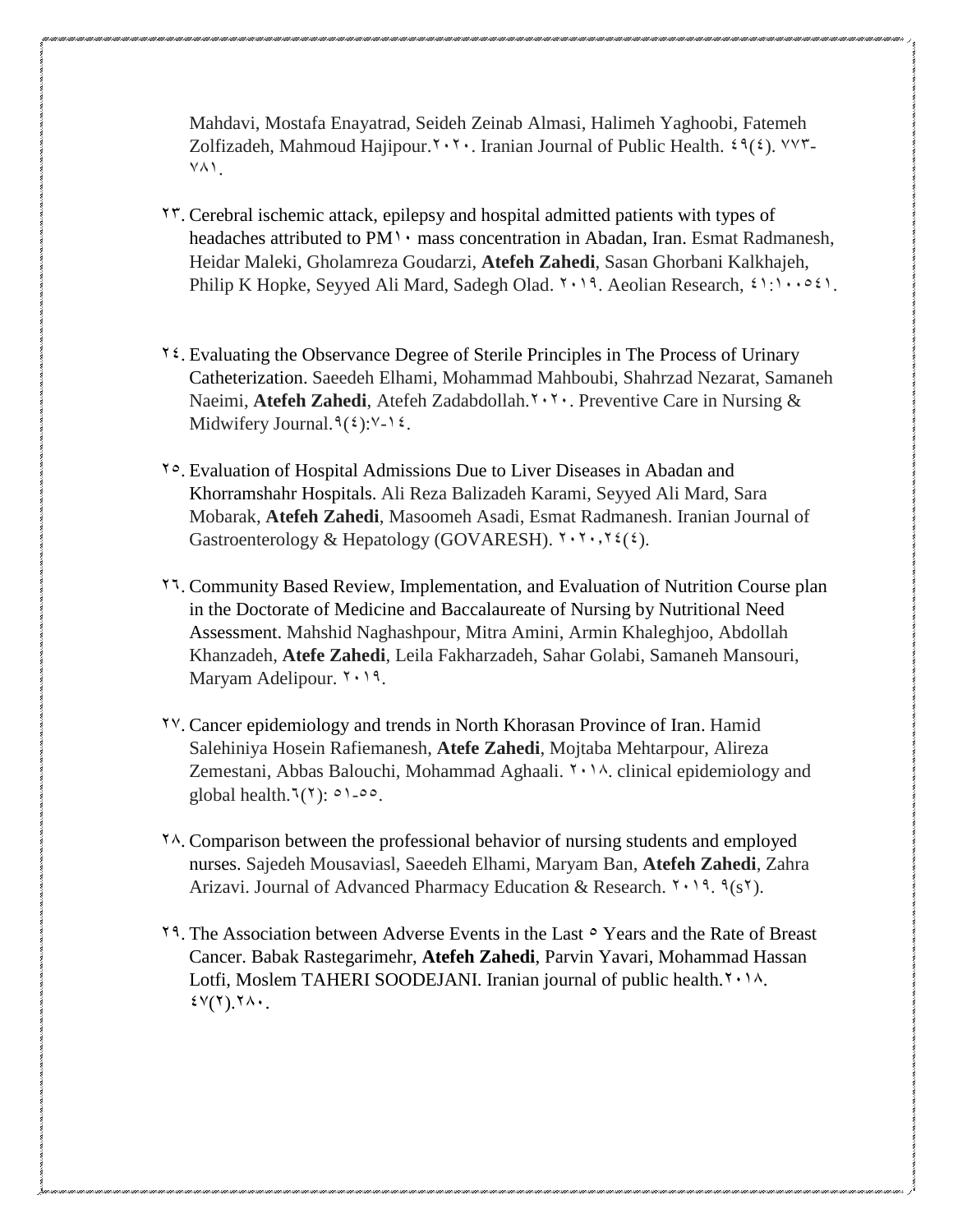Mahdavi, Mostafa Enayatrad, Seideh Zeinab Almasi, Halimeh Yaghoobi, Fatemeh Zolfizadeh, Mahmoud Hajipour.<sup>Y</sup> · Y · . Iranian Journal of Public Health.  $29(2)$ .  $YYY YAY$ 

- 25. [Cerebral ischemic attack, epilepsy and hospital admitted patients with types of](https://www.sciencedirect.com/science/article/pii/S1875963717302343)  headaches attributed to  $PM\rightarrow$  [mass concentration in Abadan, Iran.](https://www.sciencedirect.com/science/article/pii/S1875963717302343) Esmat Radmanesh, Heidar Maleki, Gholamreza Goudarzi, **Atefeh Zahedi**, Sasan Ghorbani Kalkhajeh, Philip K Hopke, Seyyed Ali Mard, Sadegh Olad.  $1 \cdot 19$ . Aeolian Research,  $21 \cdot 1061$ .
- 12. Evaluating the Observance Degree of Sterile Principles in The Process of Urinary [Catheterization.](http://research.zums.ac.ir/nmcjournal/article-1-646-en.html) Saeedeh Elhami, Mohammad Mahboubi, Shahrzad Nezarat, Samaneh Naeimi, **Atefeh Zahedi**, Atefeh Zadabdollah.<sup>7</sup> · <sup>7</sup> · Preventive Care in Nursing & Midwifery Journal.  $9(2): 12 \cdot 12$ .
- 25. Evaluation of [Hospital Admissions Due to Liver Diseases in Abadan and](http://search.ebscohost.com/login.aspx?direct=true&profile=ehost&scope=site&authtype=crawler&jrnl=15607186&AN=141433732&h=GuGfLGxroPlAo0FUzh1ZBDw7fZUlLOCG%2BoYRUZ5Mu3HmeYAoZaQu0emsODI%2BuK4vBApypLUSuD45eKMd%2F8o%2FHQ%3D%3D&crl=c)  [Khorramshahr Hospitals.](http://search.ebscohost.com/login.aspx?direct=true&profile=ehost&scope=site&authtype=crawler&jrnl=15607186&AN=141433732&h=GuGfLGxroPlAo0FUzh1ZBDw7fZUlLOCG%2BoYRUZ5Mu3HmeYAoZaQu0emsODI%2BuK4vBApypLUSuD45eKMd%2F8o%2FHQ%3D%3D&crl=c) Ali Reza Balizadeh Karami, Seyyed Ali Mard, Sara Mobarak, **Atefeh Zahedi**, Masoomeh Asadi, Esmat Radmanesh. Iranian Journal of Gastroenterology & Hepatology (GOVARESH).  $\forall \cdot \forall \cdot, \forall \xi(\xi)$ .
- 22. [Community Based Review, Implementation, and Evaluation of Nutrition Course plan](https://www.researchsquare.com/article/rs-10081/latest.pdf)  [in the Doctorate of Medicine and Baccalaureate of Nursing by Nutritional Need](https://www.researchsquare.com/article/rs-10081/latest.pdf)  [Assessment.](https://www.researchsquare.com/article/rs-10081/latest.pdf) Mahshid Naghashpour, Mitra Amini, Armin Khaleghjoo, Abdollah Khanzadeh, **Atefe Zahedi**, Leila Fakharzadeh, Sahar Golabi, Samaneh Mansouri, Maryam Adelipour.  $Y \cdot 19$ .
- <sup>1</sup> Y. [Cancer epidemiology and trends in North Khorasan Province of Iran.](https://www.sciencedirect.com/science/article/pii/S2213398418300551) Hamid Salehiniya Hosein Rafiemanesh, **Atefe Zahedi**, Mojtaba Mehtarpour, Alireza Zemestani, Abbas Balouchi, Mohammad Aghaali.  $\gamma \cdot \gamma$ . clinical epidemiology and global health.<sup> $\mathcal{F}(\mathbf{Y})$ :  $\circ \mathcal{F}$ - $\circ \circ$ .</sup>
- $\gamma$ . Comparison between the professional behavior of nursing students and employed [nurses.](https://japer.in/storage/models/article/WLyXrV2XBSJOaaeYrG8N0qIkIbm0Spr74HEiqPR2cNfQf2amnXLajs14dgNa/comparison-between-the-professional-behavior-of-nursing-students-and-employed-nurses.pdf) Sajedeh Mousaviasl, Saeedeh Elhami, Maryam Ban, **Atefeh Zahedi**, Zahra Arizavi. Journal of Advanced Pharmacy Education & Research.  $1 \cdot 19$ .  $9(s1)$ .
- $29.$  The Association between Adverse Events in the Last  $\circ$  Years and the Rate of Breast [Cancer.](https://www.ncbi.nlm.nih.gov/pmc/articles/PMC5810392/) Babak Rastegarimehr, **Atefeh Zahedi**, Parvin Yavari, Mohammad Hassan Lotfi, Moslem TAHERI SOODEJANI. Iranian journal of public health.<sup> $\gamma \cdot \gamma \lambda$ </sup>.  $\text{E}(Y,Y)$ .  $\text{A}$ .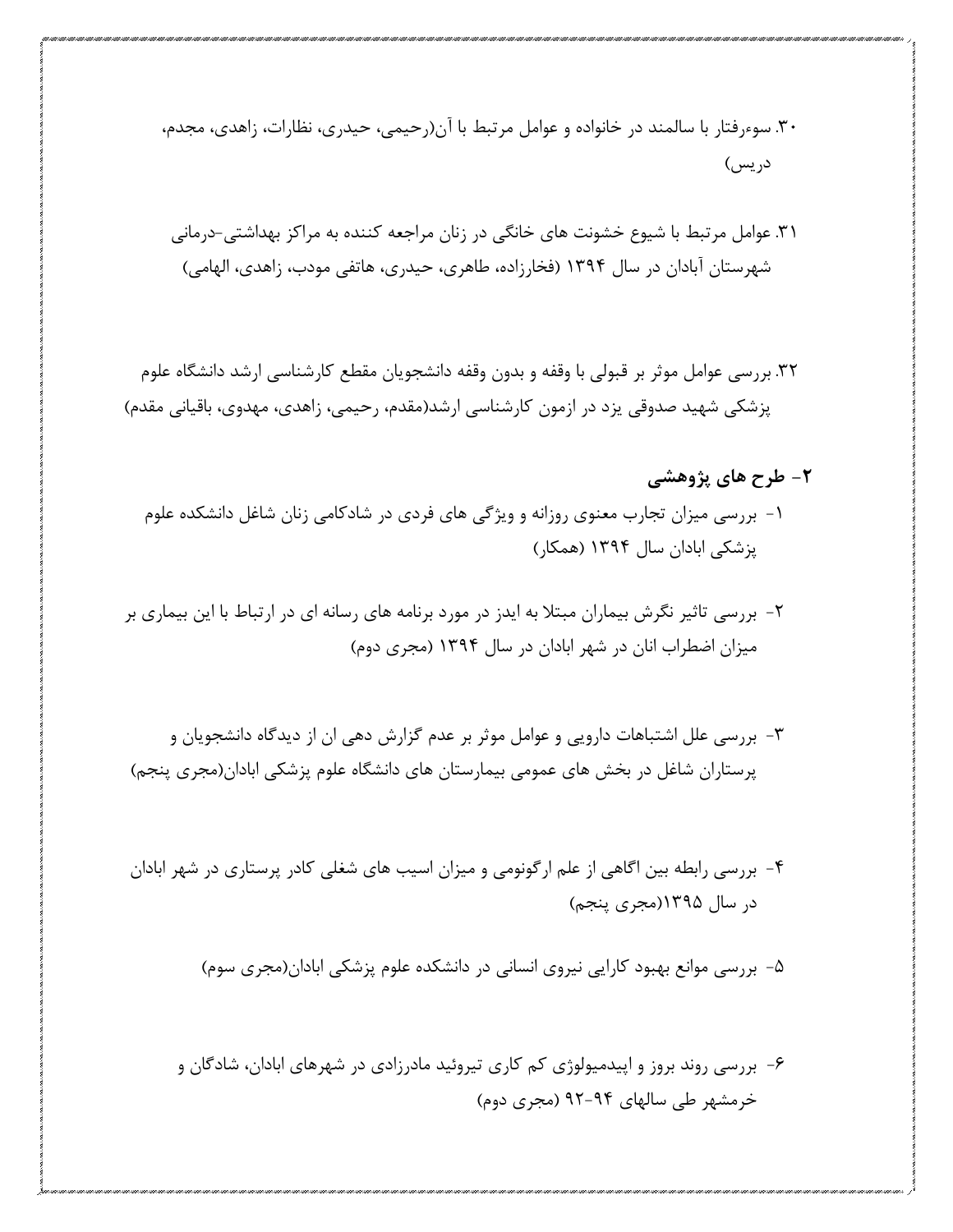.61 سوءرفتار با سالمند در خانواده و عوامل مرتبط با آن)رحیمی، حیدری، نظارات، زاهدی، مجدم، دریس(

.62 عوامل مرتبط با شیوع خشونت های خانگی در زنان مراجعه کننده به مراکز بهداشتی-درمانی شهرستان آبادان در سال 2611 )فخارزاده، طاهری، حیدری، هاتفی مودب، زاهدی، الهامی(

.61 بررسی عوامل موثر بر قبولی با وقفه و بدون وقفه دانشجویان مقطع کارشناسی ارشد دانشگاه علوم پزشکی شهید صدوقی یزد در ازمون کارشناسی ارشد(مقدم، رحیمی، زاهدی، مهدوی، باقیانی مقدم)

- **-2 طرح های پژوهشی** -2 بررسی میزان تجارب معنوی روزانه و ویژگی های فردی در شادکامی زنان شاغل دانشکده علوم پزشکی ابادان سال 2611 )همکار(
- -1 بررسی تاثیر نگرش بیماران مبتال به ایدز در مورد برنامه های رسانه ای در ارتباط با این بیماری بر میزان اضطراب انان در شهر ابادان در سال 2611 )مجری دوم(
- -6 بررسی علل اشتباهات دارویی و عوامل موثر بر عدم گزارش دهی ان از دیدگاه دانشجویان و پرستاران شاغل در بخش های عمومی بیمارستان های دانشگاه علوم پزشکی ابادان)مجری پنجم(
- -1 بررسی رابطه بین اگاهی از علم ارگونومی و میزان اسیب های شغلی کادر پرستاری در شهر ابادان در سال 2611)مجری پنجم(

-1 بررسی موانع بهبود کارایی نیروی انسانی در دانشکده علوم پزشکی ابادان)مجری سوم(

-3 بررسی روند بروز و اپیدمیولوژی کم کاری تیروئید مادرزادی در شهرهای ابادان، شادگان و خرمشهر طی سالهای 11-11 )مجری دوم(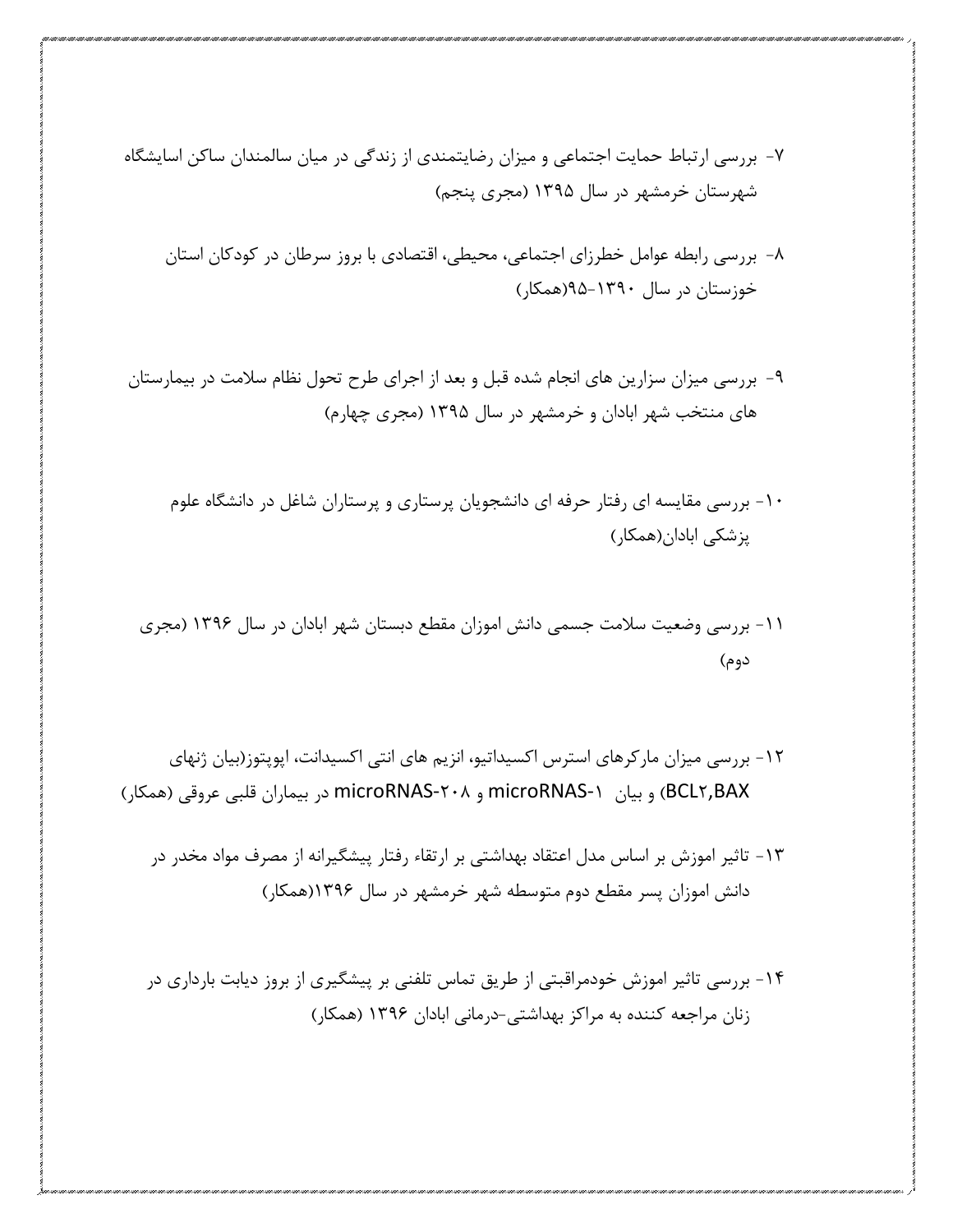-1 بررسی ارتباط حمایت اجتماعی و میزان رضایتمندی از زندگی در میان سالمندان ساکن اسایشگاه شهرستان خرمشهر در سال 2611 )مجری پنجم(

- -3 بررسی رابطه عوامل خطرزای اجتماعی، محیطی، اقتصادی با بروز سرطان در کودکان استان خوزستان در سال 11-2611)همکار(
- -1 بررسی میزان سزارین های انجام شده قبل و بعد از اجرای طرح تحول نظام سالمت در بیمارستان های منتخب شهر ابادان و خرمشهر در سال 2611 )مجری چهارم(
	- -21 بررسی مقایسه ای رفتار حرفه ای دانشجویان پرستاری و پرستاران شاغل در دانشگاه علوم پزشکی ابادان)همکار(
	- -22 بررسی وضعیت سالمت جسمی دانش اموزان مقطع دبستان شهر ابادان در سال 2613 )مجری دوم(
- -21 بررسی میزان مارکرهای استرس اکسیداتیو، انزیم های انتی اکسیدانت، اپوپتوز)بیان ژنهای BAX1,BCL )و بیان -2microRNAS و -113microRNAS در بیماران قلبی عروقی )همکار(
	- -26 تاثیر اموزش بر اساس مدل اعتقاد بهداشتی بر ارتقاء رفتار پیشگیرانه از مصرف مواد مخدر در دانش اموزان پسر مقطع دوم متوسطه شهر خرمشهر در سال 2613)همکار(
	- -21 بررسی تاثیر اموزش خودمراقبتی از طریق تماس تلفنی بر پیشگیری از بروز دیابت بارداری در زنان مراجعه کننده به مراکز بهداشتی-درمانی ابادان 2613 )همکار(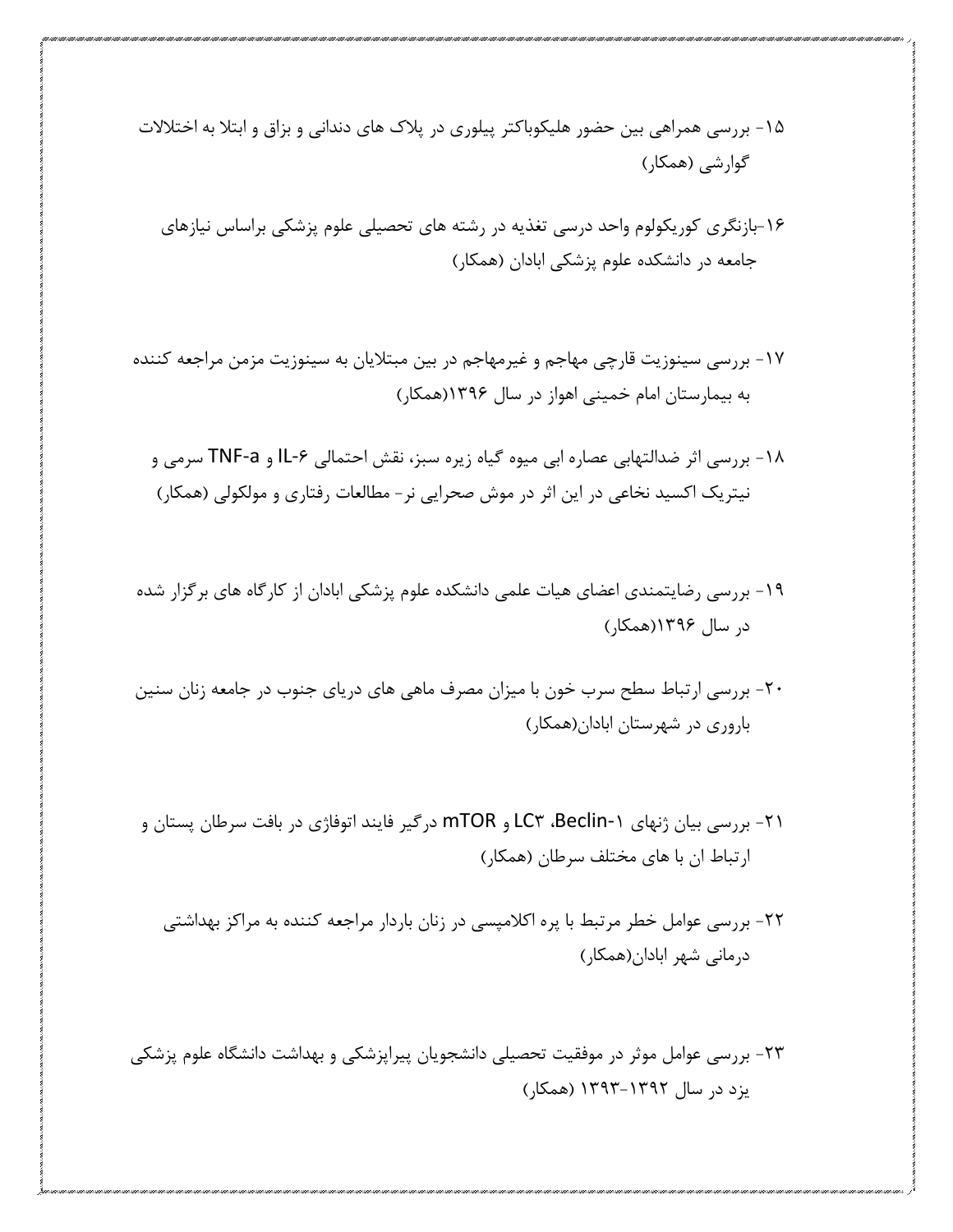- -21 بررسی همراهی بین حضور هلیکوباکتر پیلوری در پالک های دندانی و بزاق و ابتال به اختالالت گوارشی )همکار(
	- -23بازنگری کوریکولوم واحد درسی تغذیه در رشته های تحصیلی علوم پزشکی براساس نیازهای جامعه در دانشکده علوم پزشکی ابادان )همکار(
- -21 بررسی سینوزیت قارچی مهاجم و غیرمهاجم در بین مبتالیان به سینوزیت مزمن مراجعه کننده به بیمارستان امام خمینی اهواز در سال 2613)همکار(
	- -23 بررسی اثر ضدالتهابی عصاره ابی میوه گیاه زیره سبز، نقش احتمالی -3IL و a-TNF سرمی و نیتریک اکسید نخاعی در این اثر در موش صحرایی نر- مطالعات رفتاری و مولکولی )همکار(
- -21 بررسی رضایتمندی اعضای هیات علمی دانشکده علوم پزشکی ابادان از کارگاه های برگزار شده در سال 2613)همکار(
- -11 بررسی ارتباط سطح سرب خون با میزان مصرف ماهی های دریای جنوب در جامعه زنان سنین باروری در شهرستان ابادان)همکار(
- -12 بررسی بیان ژنهای -2Beclin، 6LC و mTOR درگیر فایند اتوفاژی در بافت سرطان پستان و ارتباط ان با های مختلف سرطان )همکار(
	- -11 بررسی عوامل خطر مرتبط با پره اکالمپسی در زنان باردار مراجعه کننده به مراکز بهداشتی درمانی شهر ابادان)همکار(
- -16 بررسی عوامل موثر در موفقیت تحصیلی دانشجویان پیراپزشکی و بهداشت دانشگاه علوم پزشکی یزد در سال 2616-2611 )همکار(